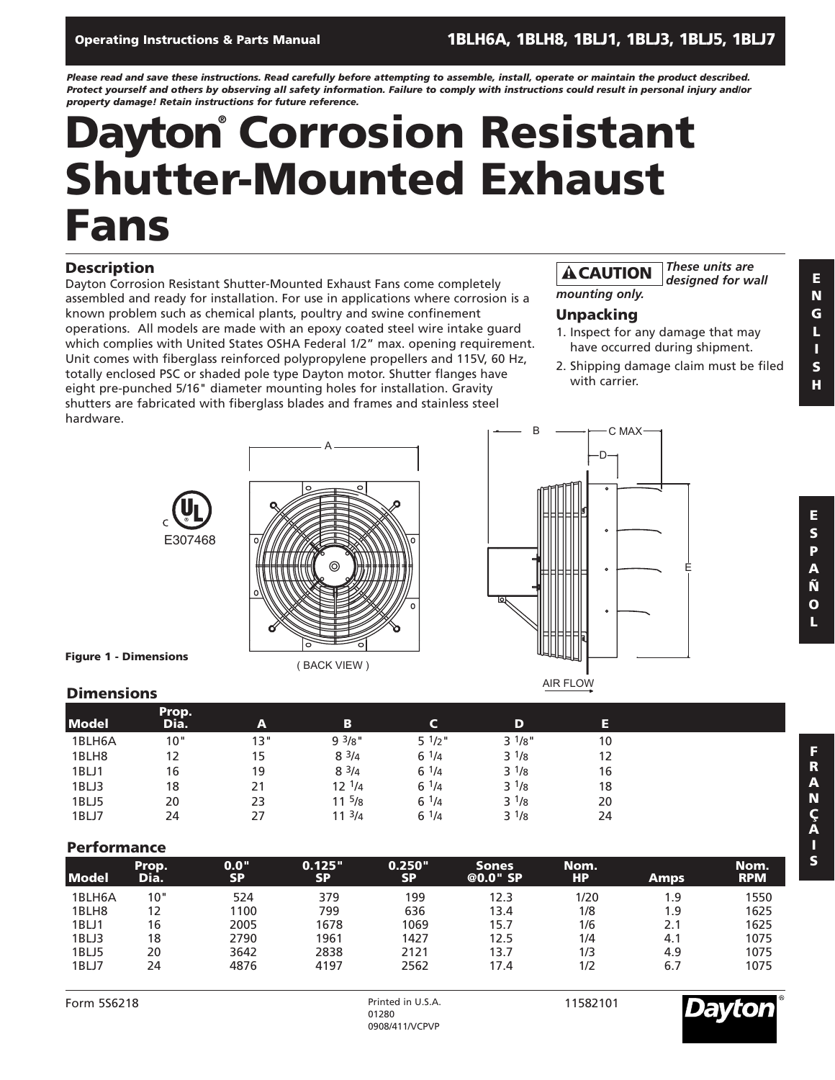### **Operating Instructions & Parts Manual 1BLH6A, 1BLH8, 1BLJ1, 1BLJ3, 1BLJ5, 1BLJ7**

*Please read and save these instructions. Read carefully before attempting to assemble, install, operate or maintain the product described. Protect yourself and others by observing all safety information. Failure to comply with instructions could result in personal injury and/or property damage! Retain instructions for future reference.*

## **Dayton® Corrosion Resistant Shutter-Mounted Exhaust Fans**

### **Description**

Dayton Corrosion Resistant Shutter-Mounted Exhaust Fans come completely assembled and ready for installation. For use in applications where corrosion is a known problem such as chemical plants, poultry and swine confinement operations. All models are made with an epoxy coated steel wire intake guard which complies with United States OSHA Federal 1/2" max. opening requirement. Unit comes with fiberglass reinforced polypropylene propellers and 115V, 60 Hz, totally enclosed PSC or shaded pole type Dayton motor. Shutter flanges have eight pre-punched 5/16" diameter mounting holes for installation. Gravity shutters are fabricated with fiberglass blades and frames and stainless steel hardware. B

#### *These units are designed for wall* **! CAUTION**

*mounting only.*

### **Unpacking**

D

 $\ddot{\phantom{0}}$ 

C MAX

- 1. Inspect for any damage that may have occurred during shipment.
- 2. Shipping damage claim must be filed with carrier.

E





( BACK VIEW )

**Figure 1 - Dimensions**

AIR FLOW

### **Dimensions**

| <b>Model</b> | Prop.<br>Dia. | A   | B                | ∽                 | D         | E  |  |
|--------------|---------------|-----|------------------|-------------------|-----------|----|--|
| 1BLH6A       | 10"           | 13" | 93/8"            | $5 \frac{1}{2}$ " | $3^{1/8"$ | 10 |  |
| 1BLH8        | 12            | 15  | $8^{3}/4$        | $6^{1/4}$         | $3^{1/8}$ | 12 |  |
| 1BLJ1        | 16            | 19  | $8^{3/4}$        | $6^{1/4}$         | $3^{1/8}$ | 16 |  |
| 1BLJ3        | 18            | 21  | $12 \frac{1}{4}$ | $6^{1/4}$         | $3^{1/8}$ | 18 |  |
| 1BLJ5        | 20            | 23  | $11^{5}/8$       | $6^{1/4}$         | $3^{1/8}$ | 20 |  |
| 1BLJ7        | 24            | 27  | $11^{3}/4$       | $6^{1/4}$         | $3^{1/8}$ | 24 |  |

### **Performance**

| <b>Model</b> | Prop.<br>Dia. | 0.0"<br><b>SP</b> | 0.125"<br><b>SP</b> | 0.250"<br><b>SP</b> | <b>Sones</b><br>@0.0" SP | Nom.<br><b>HP</b> | <b>Amps</b> | Nom.<br><b>RPM</b> |
|--------------|---------------|-------------------|---------------------|---------------------|--------------------------|-------------------|-------------|--------------------|
| 1BLH6A       | 10"           | 524               | 379                 | 199                 | 12.3                     | 1/20              | 1.9         | 1550               |
| 1BLH8        | 12            | 1100              | 799                 | 636                 | 13.4                     | 1/8               | 1.9         | 1625               |
| 1BLJ1        | 16            | 2005              | 1678                | 1069                | 15.7                     | 1/6               | 2.1         | 1625               |
| 1BLJ3        | 18            | 2790              | 1961                | 1427                | 12.5                     | 1/4               | 4.1         | 1075               |
| 1BLJ5        | 20            | 3642              | 2838                | 2121                | 13.7                     | 1/3               | 4.9         | 1075               |
| 1BLJ7        | 24            | 4876              | 4197                | 2562                | 7.4                      | 1/2               | 6.7         | 1075               |

11582101

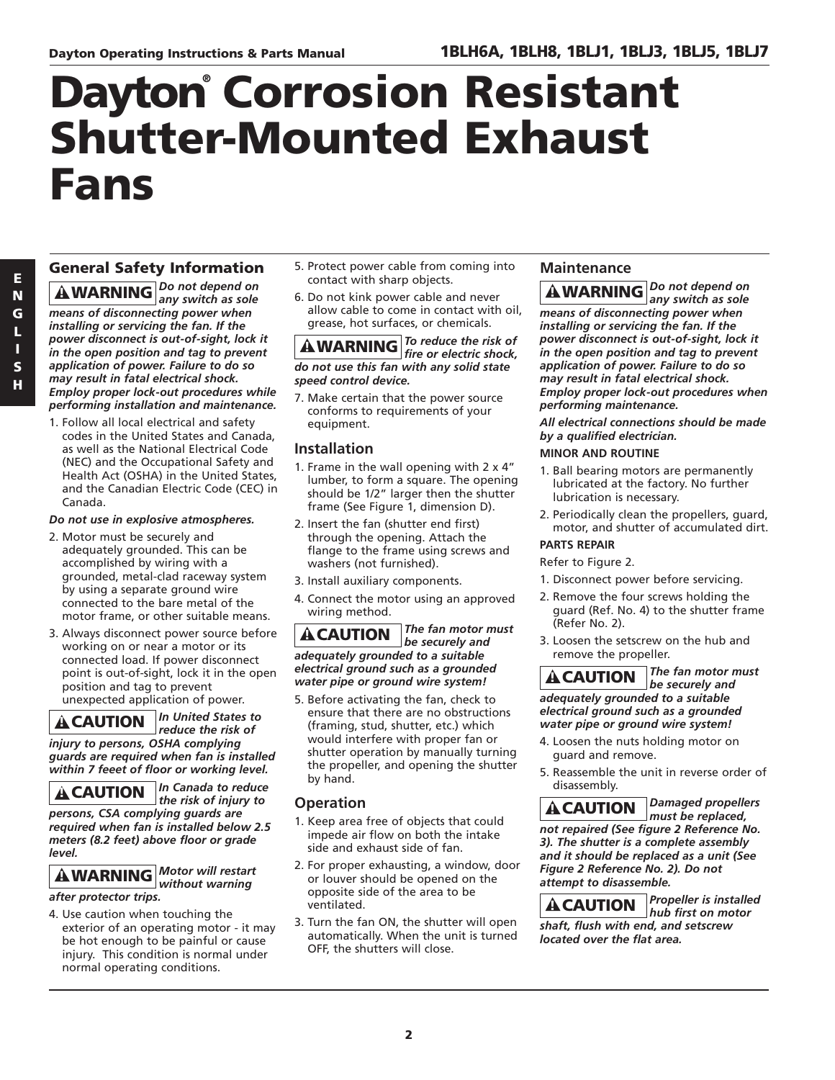## **Dayton® Corrosion Resistant Shutter-Mounted Exhaust Fans**

### **General Safety Information**

*Do not depend on any switch as sole* **! WARNING** *means of disconnecting power when installing or servicing the fan. If the power disconnect is out-of-sight, lock it in the open position and tag to prevent application of power. Failure to do so may result in fatal electrical shock. Employ proper lock-out procedures while performing installation and maintenance.*

1. Follow all local electrical and safety codes in the United States and Canada, as well as the National Electrical Code (NEC) and the Occupational Safety and Health Act (OSHA) in the United States, and the Canadian Electric Code (CEC) in Canada.

### *Do not use in explosive atmospheres.*

- 2. Motor must be securely and adequately grounded. This can be accomplished by wiring with a grounded, metal-clad raceway system by using a separate ground wire connected to the bare metal of the motor frame, or other suitable means.
- 3. Always disconnect power source before working on or near a motor or its connected load. If power disconnect point is out-of-sight, lock it in the open position and tag to prevent unexpected application of power.

*In United States to* **! CAUTION**

*reduce the risk of injury to persons, OSHA complying guards are required when fan is installed within 7 feeet of floor or working level.*

*In Canada to reduce the risk of injury to persons, CSA complying guards are required when fan is installed below 2.5 meters (8.2 feet) above floor or grade level.* **! CAUTION**

*Motor will restart without warning* **! WARNING** *after protector trips.*

4. Use caution when touching the exterior of an operating motor - it may be hot enough to be painful or cause injury. This condition is normal under normal operating conditions.

- 5. Protect power cable from coming into contact with sharp objects.
- 6. Do not kink power cable and never allow cable to come in contact with oil, grease, hot surfaces, or chemicals.

### *To reduce the risk of f***<sub>i</sub>** *Io reduce the risk of the WARNING fire or electric shock, do not use this fan with any solid state speed control device.*

7. Make certain that the power source conforms to requirements of your equipment.

### **Installation**

- 1. Frame in the wall opening with 2 x 4" lumber, to form a square. The opening should be 1/2" larger then the shutter frame (See Figure 1, dimension D).
- 2. Insert the fan (shutter end first) through the opening. Attach the flange to the frame using screws and washers (not furnished).
- 3. Install auxiliary components.
- 4. Connect the motor using an approved wiring method.

*The fan motor must be securely and adequately grounded to a suitable electrical ground such as a grounded water pipe or ground wire system!* **! CAUTION**

5. Before activating the fan, check to ensure that there are no obstructions (framing, stud, shutter, etc.) which would interfere with proper fan or shutter operation by manually turning the propeller, and opening the shutter by hand.

### **Operation**

- 1. Keep area free of objects that could impede air flow on both the intake side and exhaust side of fan.
- 2. For proper exhausting, a window, door or louver should be opened on the opposite side of the area to be ventilated.
- 3. Turn the fan ON, the shutter will open automatically. When the unit is turned OFF, the shutters will close.

### **Maintenance**

*Do not depend on any switch as sole* **! WARNING** *means of disconnecting power when installing or servicing the fan. If the power disconnect is out-of-sight, lock it in the open position and tag to prevent application of power. Failure to do so may result in fatal electrical shock. Employ proper lock-out procedures when performing maintenance.*

*All electrical connections should be made by a qualified electrician.*

### **MINOR AND ROUTINE**

- 1. Ball bearing motors are permanently lubricated at the factory. No further lubrication is necessary.
- 2. Periodically clean the propellers, guard, motor, and shutter of accumulated dirt.

### **PARTS REPAIR**

Refer to Figure 2.

- 1. Disconnect power before servicing.
- 2. Remove the four screws holding the guard (Ref. No. 4) to the shutter frame (Refer No. 2).
- 3. Loosen the setscrew on the hub and remove the propeller.

*The fan motor must be securely and adequately grounded to a suitable electrical ground such as a grounded water pipe or ground wire system!* **! CAUTION**

- 4. Loosen the nuts holding motor on guard and remove.
- 5. Reassemble the unit in reverse order of disassembly.

*Damaged propellers must be replaced, not repaired (See figure 2 Reference No. 3). The shutter is a complete assembly and it should be replaced as a unit (See Figure 2 Reference No. 2). Do not attempt to disassemble.* **! CAUTION**

*Propeller is installed hub first on motor shaft, flush with end, and setscrew located over the flat area.* **! CAUTION**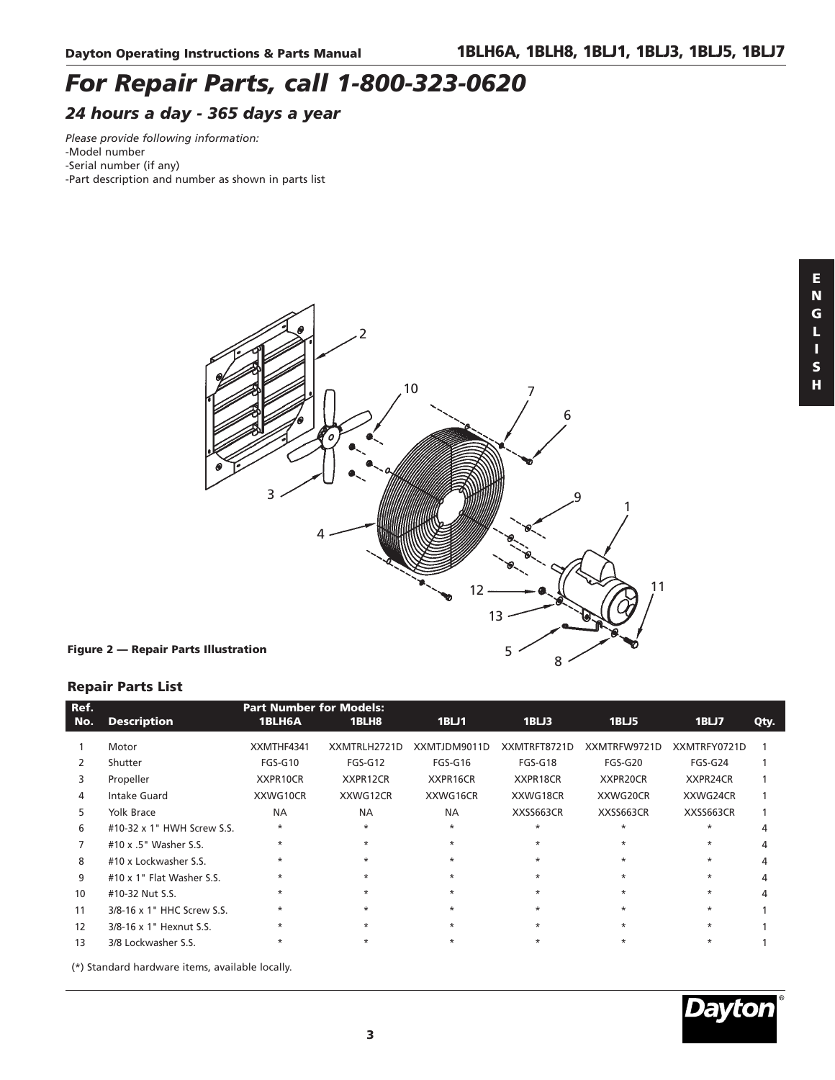### *For Repair Parts, call 1-800-323-0620*

### *24 hours a day - 365 days a year*

*Please provide following information:* 

- -Model number
- -Serial number (if any)
- -Part description and number as shown in parts list



### **Repair Parts List**

| Ref. |                                                                                     | <b>Part Number for Models:</b> |              |              |              |              |              |      |
|------|-------------------------------------------------------------------------------------|--------------------------------|--------------|--------------|--------------|--------------|--------------|------|
| No.  | <b>Description</b>                                                                  | 1BLH6A                         | 1BLH8        | 1BLJ1        | 1BLJ3        | 1BLJ5        | 1BLJ7        | Qty. |
|      | Motor                                                                               | XXMTHF4341                     | XXMTRLH2721D | XXMTJDM9011D | XXMTRFT8721D | XXMTRFW9721D | XXMTRFY0721D |      |
| 2    | Shutter                                                                             | $FGS-G10$                      | $FGS-G12$    | FGS-G16      | FGS-G18      | FGS-G20      | FGS-G24      |      |
| 3    | Propeller                                                                           | XXPR10CR                       | XXPR12CR     | XXPR16CR     | XXPR18CR     | XXPR20CR     | XXPR24CR     |      |
| 4    | Intake Guard                                                                        | XXWG10CR                       | XXWG12CR     | XXWG16CR     | XXWG18CR     | XXWG20CR     | XXWG24CR     |      |
| 5.   | <b>Yolk Brace</b>                                                                   | <b>NA</b>                      | <b>NA</b>    | <b>NA</b>    | XXSS663CR    | XXSS663CR    | XXSS663CR    |      |
| 6    | #10-32 x 1" HWH Screw S.S.                                                          | $\ast$                         | $\star$      | $\ast$       | $\ast$       | $\ast$       | $\star$      | 4    |
|      | #10 x .5" Washer S.S.                                                               | $\star$                        | $\star$      | $\star$      | $\star$      | $\ast$       | $\star$      |      |
| 8    | #10 x Lockwasher S.S.                                                               | $\ast$                         | $\star$      | $\star$      | $\star$      | $\ast$       | $\ast$       |      |
| 9    | #10 x 1" Flat Washer S.S.                                                           | $\star$                        | $\star$      | $\star$      | $\star$      | $\ast$       | $\star$      |      |
| 10   | #10-32 Nut S.S.                                                                     | $\star$                        | $\star$      | $\ast$       | $\star$      | $\ast$       | $\star$      | Δ    |
| 11   | 3/8-16 x 1" HHC Screw S.S.                                                          | $\star$                        | $\star$      | $\star$      | $\star$      | $\star$      | $\ast$       |      |
| 12   | 3/8-16 x 1" Hexnut S.S.                                                             | $\star$                        | $\star$      | $\star$      | $\star$      | $\star$      | $\star$      |      |
| 13   | 3/8 Lockwasher S.S.                                                                 |                                | $\star$      | $\ast$       | $\star$      | $\ast$       | $\star$      |      |
|      | $I = I + I$ $I + I + I$ $I + I$ $I + I + I$ $I + I + I$ $I + I + I$ $I + I + I + I$ |                                |              |              |              |              |              |      |

(\*) Standard hardware items, available locally.



**H**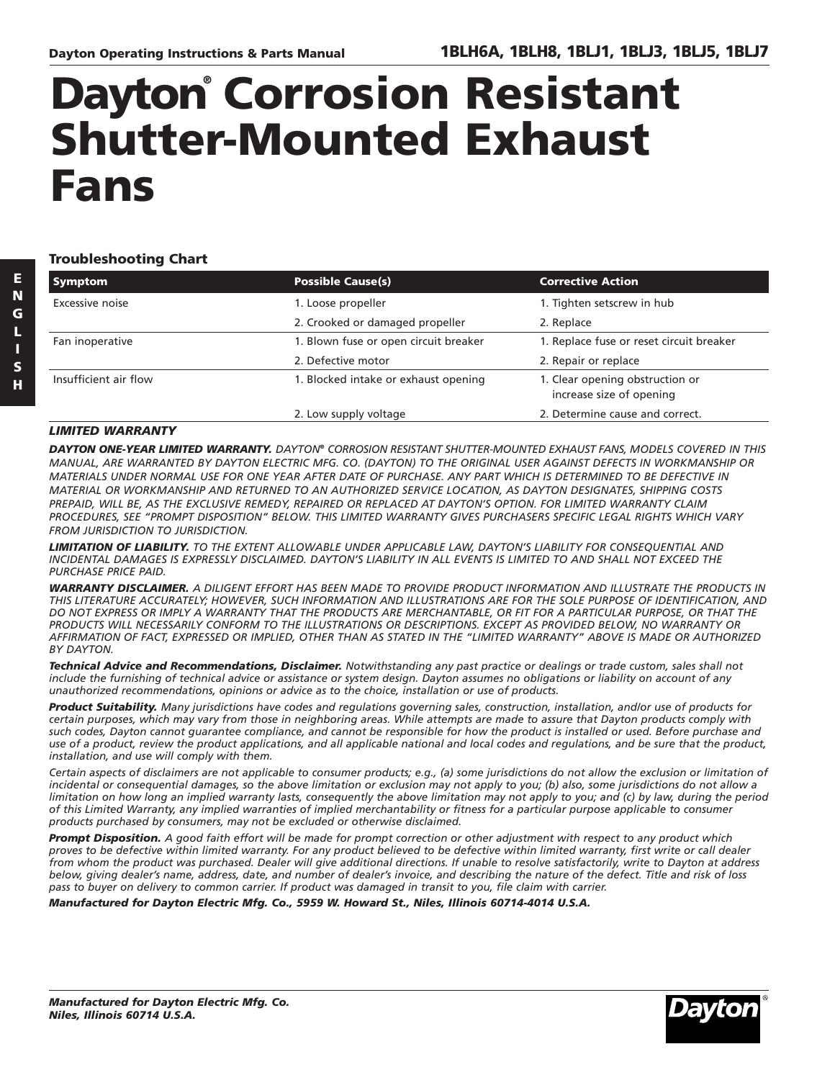## **Dayton® Corrosion Resistant Shutter-Mounted Exhaust Fans**

**Troubleshooting Chart** 

| <b>Symptom</b>        | <b>Possible Cause(s)</b>              | <b>Corrective Action</b>                                    |
|-----------------------|---------------------------------------|-------------------------------------------------------------|
| Excessive noise       | 1. Loose propeller                    | 1. Tighten setscrew in hub                                  |
|                       | 2. Crooked or damaged propeller       | 2. Replace                                                  |
| Fan inoperative       | 1. Blown fuse or open circuit breaker | 1. Replace fuse or reset circuit breaker                    |
|                       | 2. Defective motor                    | 2. Repair or replace                                        |
| Insufficient air flow | 1. Blocked intake or exhaust opening  | 1. Clear opening obstruction or<br>increase size of opening |
|                       | 2. Low supply voltage                 | 2. Determine cause and correct.                             |

### *LIMITED WARRANTY*

*DAYTON ONE-YEAR LIMITED WARRANTY. DAYTON® CORROSION RESISTANT SHUTTER-MOUNTED EXHAUST FANS, MODELS COVERED IN THIS MANUAL, ARE WARRANTED BY DAYTON ELECTRIC MFG. CO. (DAYTON) TO THE ORIGINAL USER AGAINST DEFECTS IN WORKMANSHIP OR MATERIALS UNDER NORMAL USE FOR ONE YEAR AFTER DATE OF PURCHASE. ANY PART WHICH IS DETERMINED TO BE DEFECTIVE IN MATERIAL OR WORKMANSHIP AND RETURNED TO AN AUTHORIZED SERVICE LOCATION, AS DAYTON DESIGNATES, SHIPPING COSTS PREPAID, WILL BE, AS THE EXCLUSIVE REMEDY, REPAIRED OR REPLACED AT DAYTON'S OPTION. FOR LIMITED WARRANTY CLAIM PROCEDURES, SEE "PROMPT DISPOSITION" BELOW. THIS LIMITED WARRANTY GIVES PURCHASERS SPECIFIC LEGAL RIGHTS WHICH VARY FROM JURISDICTION TO JURISDICTION.*

*LIMITATION OF LIABILITY. TO THE EXTENT ALLOWABLE UNDER APPLICABLE LAW, DAYTON'S LIABILITY FOR CONSEQUENTIAL AND INCIDENTAL DAMAGES IS EXPRESSLY DISCLAIMED. DAYTON'S LIABILITY IN ALL EVENTS IS LIMITED TO AND SHALL NOT EXCEED THE PURCHASE PRICE PAID.* 

*WARRANTY DISCLAIMER. A DILIGENT EFFORT HAS BEEN MADE TO PROVIDE PRODUCT INFORMATION AND ILLUSTRATE THE PRODUCTS IN THIS LITERATURE ACCURATELY; HOWEVER, SUCH INFORMATION AND ILLUSTRATIONS ARE FOR THE SOLE PURPOSE OF IDENTIFICATION, AND DO NOT EXPRESS OR IMPLY A WARRANTY THAT THE PRODUCTS ARE MERCHANTABLE, OR FIT FOR A PARTICULAR PURPOSE, OR THAT THE PRODUCTS WILL NECESSARILY CONFORM TO THE ILLUSTRATIONS OR DESCRIPTIONS. EXCEPT AS PROVIDED BELOW, NO WARRANTY OR AFFIRMATION OF FACT, EXPRESSED OR IMPLIED, OTHER THAN AS STATED IN THE "LIMITED WARRANTY" ABOVE IS MADE OR AUTHORIZED BY DAYTON.*

*Technical Advice and Recommendations, Disclaimer. Notwithstanding any past practice or dealings or trade custom, sales shall not include the furnishing of technical advice or assistance or system design. Dayton assumes no obligations or liability on account of any unauthorized recommendations, opinions or advice as to the choice, installation or use of products.*

*Product Suitability. Many jurisdictions have codes and regulations governing sales, construction, installation, and/or use of products for certain purposes, which may vary from those in neighboring areas. While attempts are made to assure that Dayton products comply with such codes, Dayton cannot guarantee compliance, and cannot be responsible for how the product is installed or used. Before purchase and use of a product, review the product applications, and all applicable national and local codes and regulations, and be sure that the product, installation, and use will comply with them.* 

*Certain aspects of disclaimers are not applicable to consumer products; e.g., (a) some jurisdictions do not allow the exclusion or limitation of incidental or consequential damages, so the above limitation or exclusion may not apply to you; (b) also, some jurisdictions do not allow a limitation on how long an implied warranty lasts, consequently the above limitation may not apply to you; and (c) by law, during the period of this Limited Warranty, any implied warranties of implied merchantability or fitness for a particular purpose applicable to consumer products purchased by consumers, may not be excluded or otherwise disclaimed.*

*Prompt Disposition. A good faith effort will be made for prompt correction or other adjustment with respect to any product which proves to be defective within limited warranty. For any product believed to be defective within limited warranty, first write or call dealer from whom the product was purchased. Dealer will give additional directions. If unable to resolve satisfactorily, write to Dayton at address below, giving dealer's name, address, date, and number of dealer's invoice, and describing the nature of the defect. Title and risk of loss pass to buyer on delivery to common carrier. If product was damaged in transit to you, file claim with carrier.*

*Manufactured for Dayton Electric Mfg. Co., 5959 W. Howard St., Niles, Illinois 60714-4014 U.S.A.*

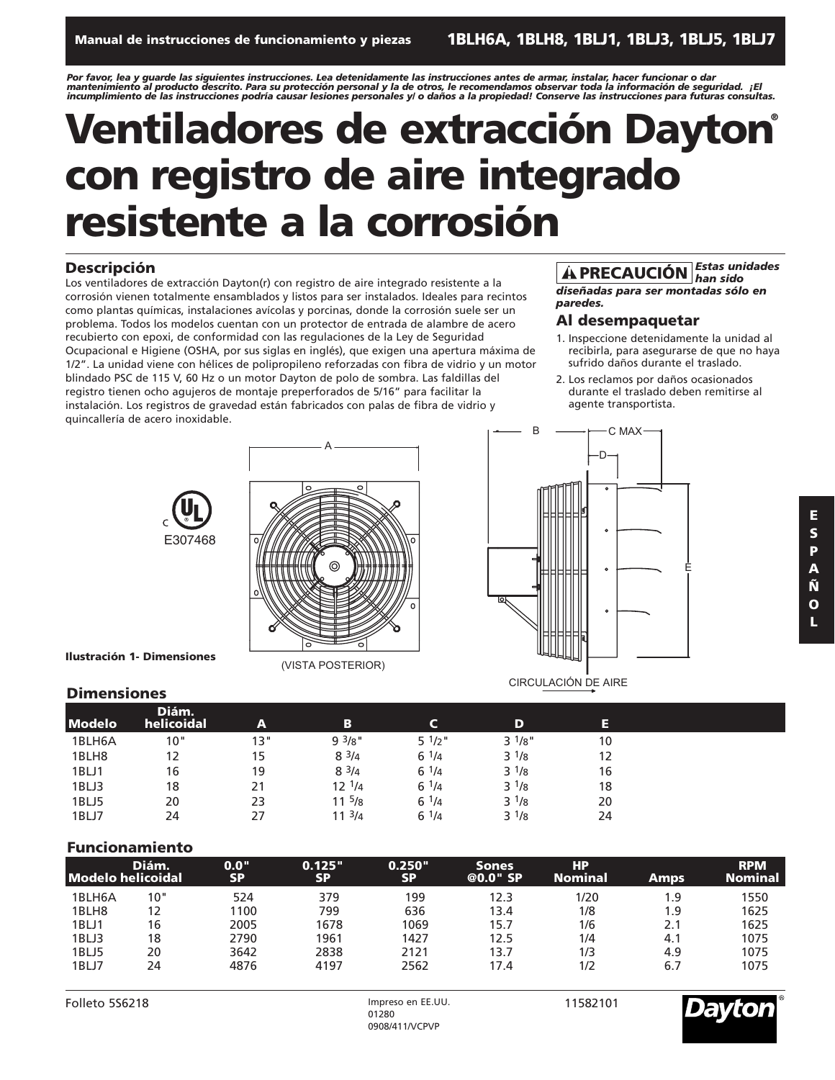Por favor, lea y guarde las siguientes instrucciones. Lea detenidamente las instrucciones antes de armar, instalar, hacer funcionar o dar<br>mantenimiento al producto descrito. Para su protección personal y la de otros, le re *incumplimiento de las instrucciones podría causar lesiones personales y/ o daños a la propiedad! Conserve las instrucciones para futuras consultas.*

## **Ventiladores de extracción Dayton® con registro de aire integrado resistente a la corrosión**

### **Descripción**

Los ventiladores de extracción Dayton(r) con registro de aire integrado resistente a la corrosión vienen totalmente ensamblados y listos para ser instalados. Ideales para recintos como plantas químicas, instalaciones avícolas y porcinas, donde la corrosión suele ser un problema. Todos los modelos cuentan con un protector de entrada de alambre de acero recubierto con epoxi, de conformidad con las regulaciones de la Ley de Seguridad Ocupacional e Higiene (OSHA, por sus siglas en inglés), que exigen una apertura máxima de 1/2". La unidad viene con hélices de polipropileno reforzadas con fibra de vidrio y un motor blindado PSC de 115 V, 60 Hz o un motor Dayton de polo de sombra. Las faldillas del registro tienen ocho agujeros de montaje preperforados de 5/16" para facilitar la instalación. Los registros de gravedad están fabricados con palas de fibra de vidrio y quincallería de acero inoxidable. B

### *Estas unidades han sido* **! PRECAUCIÓN**

*diseñadas para ser montadas sólo en paredes.*

### **Al desempaquetar**

C MAX

- 1. Inspeccione detenidamente la unidad al recibirla, para asegurarse de que no haya sufrido daños durante el traslado.
- 2. Los reclamos por daños ocasionados durante el traslado deben remitirse al agente transportista.





(VISTA POSTERIOR)

**Ilustración 1- Dimensiones**

# D E  $\bullet$ CIRCULACIÓN DE AIRE

### **Dimensiones**

| <b>Modelo</b> | Diám.<br>helicoidal | A   | в          |                   | D         | Е  |  |
|---------------|---------------------|-----|------------|-------------------|-----------|----|--|
|               |                     |     |            |                   |           |    |  |
| 1BLH6A        | 10"                 | 13" | 93/8"      | $5 \frac{1}{2}$ " | $3^{1/8}$ | 10 |  |
| 1BLH8         | 12                  | 15  | $8^{3}/4$  | $6^{1/4}$         | $3^{1/8}$ | 12 |  |
| 1BLJ1         | 16                  | 19  | $8^{3/4}$  | $6^{1/4}$         | $3^{1/8}$ | 16 |  |
| 1BLJ3         | 18                  | 21  | $12^{1/4}$ | $6^{1/4}$         | $3^{1/8}$ | 18 |  |
| 1BLJ5         | 20                  | 23  | $11^{5}/8$ | $6^{1/4}$         | $3^{1/8}$ | 20 |  |
| 1BLJ7         | 24                  | 27  | $11^{3}/4$ | $6^{1/4}$         | $3^{1/8}$ | 24 |  |

### **Funcionamiento**

|        | Diám.<br><b>Modelo helicoidal</b> | 0.0"<br><b>SP</b> | 0.125"<br><b>SP</b> | 0.250"<br><b>SP</b> | <b>Sones</b><br>@0.0" SP | HР<br><b>Nominal</b> | Amps | <b>RPM</b><br><b>Nominal</b> |
|--------|-----------------------------------|-------------------|---------------------|---------------------|--------------------------|----------------------|------|------------------------------|
| 1BLH6A | 10"                               | 524               | 379                 | 199                 | 12.3                     | 1/20                 | 1.9  | 1550                         |
| 1BLH8  | 12                                | 1100              | 799                 | 636                 | 13.4                     | 1/8                  | 1.9  | 1625                         |
| 1BLJ1  | 16                                | 2005              | 1678                | 1069                | 15.7                     | 1/6                  | 2.1  | 1625                         |
| 1BLJ3  | 18                                | 2790              | 1961                | 1427                | 12.5                     | 1/4                  | 4.1  | 1075                         |
| 1BLJ5  | 20                                | 3642              | 2838                | 2121                | 13.7                     | 1/3                  | 4.9  | 1075                         |
| 1BLJ7  | 24                                | 4876              | 4197                | 2562                | 17.4                     | 1/2                  | 6.7  | 1075                         |

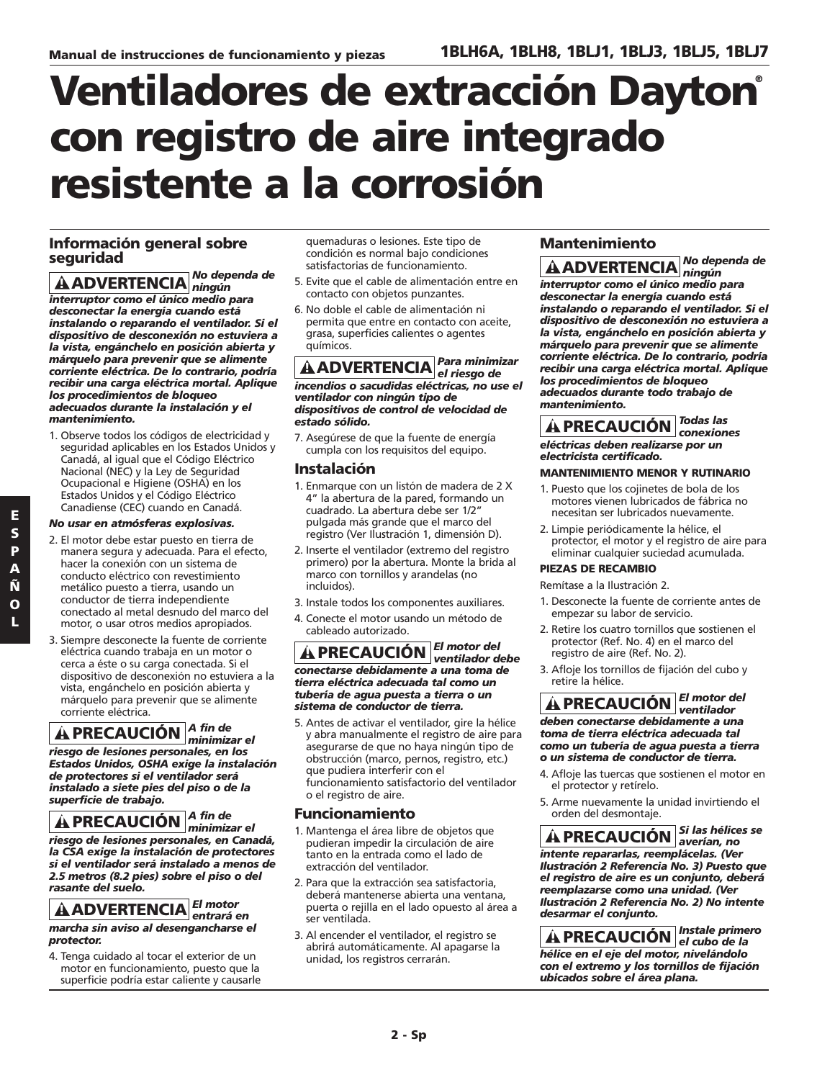## **Ventiladores de extracción Dayton® con registro de aire integrado resistente a la corrosión**

### **Información general sobre seguridad**

*No dependa de ningún* **! ADVERTENCIA** *interruptor como el único medio para desconectar la energía cuando está instalando o reparando el ventilador. Si el dispositivo de desconexión no estuviera a la vista, engánchelo en posición abierta y márquelo para prevenir que se alimente corriente eléctrica. De lo contrario, podría recibir una carga eléctrica mortal. Aplique los procedimientos de bloqueo adecuados durante la instalación y el mantenimiento.*

1. Observe todos los códigos de electricidad y seguridad aplicables en los Estados Unidos y Canadá, al igual que el Código Eléctrico Nacional (NEC) y la Ley de Seguridad Ocupacional e Higiene (OSHA) en los Estados Unidos y el Código Eléctrico Canadiense (CEC) cuando en Canadá.

### *No usar en atmósferas explosivas.*

- 2. El motor debe estar puesto en tierra de manera segura y adecuada. Para el efecto, hacer la conexión con un sistema de conducto eléctrico con revestimiento metálico puesto a tierra, usando un conductor de tierra independiente conectado al metal desnudo del marco del motor, o usar otros medios apropiados.
- 3. Siempre desconecte la fuente de corriente eléctrica cuando trabaja en un motor o cerca a éste o su carga conectada. Si el dispositivo de desconexión no estuviera a la vista, engánchelo en posición abierta y márquelo para prevenir que se alimente corriente eléctrica.

#### *A fin de minimizar el* **! PRECAUCIÓN**

*riesgo de lesiones personales, en los Estados Unidos, OSHA exige la instalación de protectores si el ventilador será instalado a siete pies del piso o de la superficie de trabajo.* 

*A fin de minimizar el* **! PRECAUCIÓN***riesgo de lesiones personales, en Canadá, la CSA exige la instalación de protectores si el ventilador será instalado a menos de 2.5 metros (8.2 pies) sobre el piso o del rasante del suelo.*

#### *El motor*  $\hat{A}$  **ADVERTENCIA** entrará en *marcha sin aviso al desengancharse el*

*protector.* 4. Tenga cuidado al tocar el exterior de un motor en funcionamiento, puesto que la

superficie podría estar caliente y causarle

quemaduras o lesiones. Este tipo de condición es normal bajo condiciones satisfactorias de funcionamiento.

- 5. Evite que el cable de alimentación entre en contacto con objetos punzantes.
- 6. No doble el cable de alimentación ni permita que entre en contacto con aceite, grasa, superficies calientes o agentes químicos.

*Para minimizar el riesgo de* **! ADVERTENCIA** *incendios o sacudidas eléctricas, no use el ventilador con ningún tipo de dispositivos de control de velocidad de estado sólido.*

7. Asegúrese de que la fuente de energía cumpla con los requisitos del equipo.

### **Instalación**

- 1. Enmarque con un listón de madera de 2 X 4" la abertura de la pared, formando un cuadrado. La abertura debe ser 1/2" pulgada más grande que el marco del registro (Ver Ilustración 1, dimensión D).
- 2. Inserte el ventilador (extremo del registro primero) por la abertura. Monte la brida al marco con tornillos y arandelas (no incluidos).
- 3. Instale todos los componentes auxiliares.
- 4. Conecte el motor usando un método de cableado autorizado.

*El motor del ventilador debe* **! PRECAUCIÓN** *conectarse debidamente a una toma de tierra eléctrica adecuada tal como un tubería de agua puesta a tierra o un sistema de conductor de tierra.*

5. Antes de activar el ventilador, gire la hélice y abra manualmente el registro de aire para asegurarse de que no haya ningún tipo de obstrucción (marco, pernos, registro, etc.) que pudiera interferir con el funcionamiento satisfactorio del ventilador o el registro de aire.

### **Funcionamiento**

- 1. Mantenga el área libre de objetos que pudieran impedir la circulación de aire tanto en la entrada como el lado de extracción del ventilador.
- 2. Para que la extracción sea satisfactoria, deberá mantenerse abierta una ventana, puerta o rejilla en el lado opuesto al área a ser ventilada.
- 3. Al encender el ventilador, el registro se abrirá automáticamente. Al apagarse la unidad, los registros cerrarán.

### **Mantenimiento**

*No dependa de ningún* **! ADVERTENCIA** *interruptor como el único medio para desconectar la energía cuando está instalando o reparando el ventilador. Si el dispositivo de desconexión no estuviera a la vista, engánchelo en posición abierta y márquelo para prevenir que se alimente corriente eléctrica. De lo contrario, podría recibir una carga eléctrica mortal. Aplique los procedimientos de bloqueo adecuados durante todo trabajo de mantenimiento.*

*Todas las conexiones* **! PRECAUCIÓN** *eléctricas deben realizarse por un electricista certificado.*

### **MANTENIMIENTO MENOR Y RUTINARIO**

- 1. Puesto que los cojinetes de bola de los motores vienen lubricados de fábrica no necesitan ser lubricados nuevamente.
- 2. Limpie periódicamente la hélice, el protector, el motor y el registro de aire para eliminar cualquier suciedad acumulada.

### **PIEZAS DE RECAMBIO**

Remítase a la Ilustración 2.

- 1. Desconecte la fuente de corriente antes de empezar su labor de servicio.
- 2. Retire los cuatro tornillos que sostienen el protector (Ref. No. 4) en el marco del registro de aire (Ref. No. 2).
- 3. Afloje los tornillos de fijación del cubo y retire la hélice.

*El motor del ventilador* **! PRECAUCIÓN** *deben conectarse debidamente a una toma de tierra eléctrica adecuada tal como un tubería de agua puesta a tierra o un sistema de conductor de tierra.*

- 4. Afloje las tuercas que sostienen el motor en el protector y retírelo.
- 5. Arme nuevamente la unidad invirtiendo el orden del desmontaje.

*Si las hélices se averían, no* **! PRECAUCIÓN** *intente repararlas, reemplácelas. (Ver Ilustración 2 Referencia No. 3) Puesto que el registro de aire es un conjunto, deberá reemplazarse como una unidad. (Ver Ilustración 2 Referencia No. 2) No intente desarmar el conjunto.*

*Instale primero el cubo de la* **! PRECAUCIÓN** *hélice en el eje del motor, nivelándolo con el extremo y los tornillos de fijación ubicados sobre el área plana.*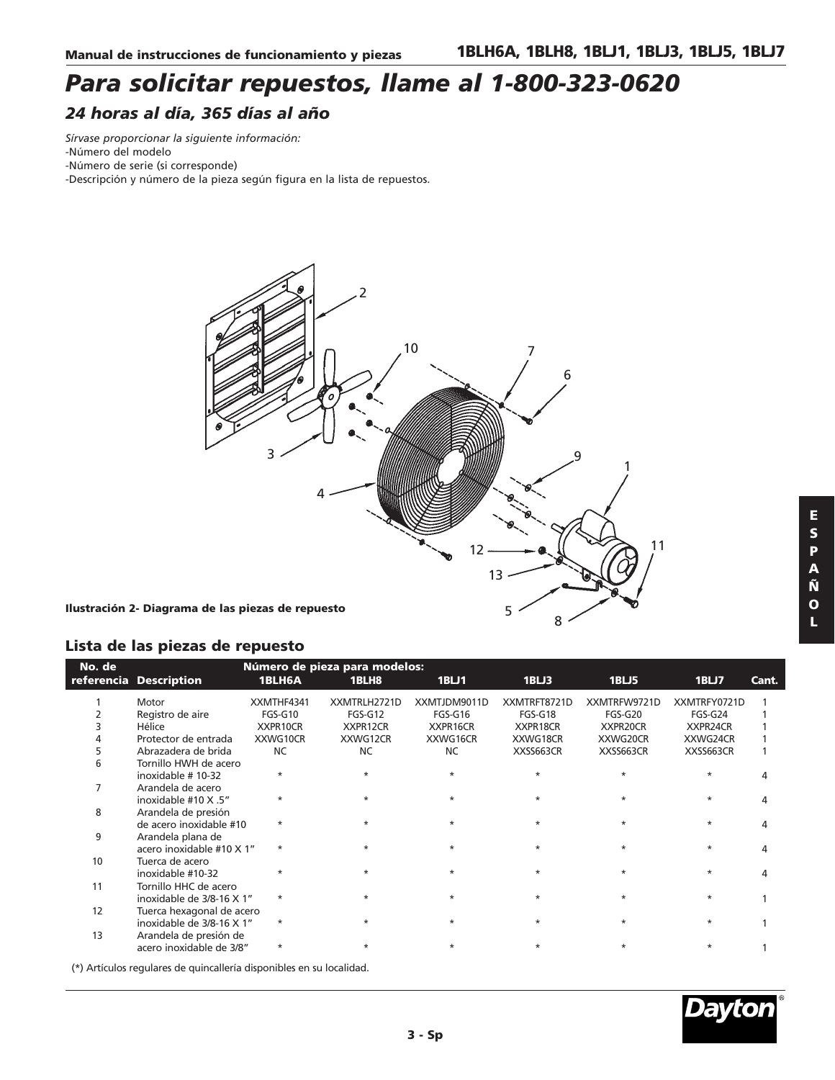### *Para solicitar repuestos, llame al 1-800-323-0620 24 horas al día, 365 días al año*

*Sírvase proporcionar la siguiente información:*

- -Número del modelo
- -Número de serie (si corresponde)

-Descripción y número de la pieza según figura en la lista de repuestos.



**Ilustración 2- Diagrama de las piezas de repuesto**

### **Lista de las piezas de repuesto**

| No. de |                           |            | Número de pieza para modelos: |              |              |              |              |       |
|--------|---------------------------|------------|-------------------------------|--------------|--------------|--------------|--------------|-------|
|        | referencia Description    | 1BLH6A     | 1BLH8                         | 1BLJ1        | 1BLJ3        | 1BLJ5        | 1BLJ7        | Cant. |
|        | Motor                     | XXMTHF4341 | XXMTRLH2721D                  | XXMTJDM9011D | XXMTRFT8721D | XXMTRFW9721D | XXMTRFY0721D |       |
|        | Registro de aire          | FGS-G10    | FGS-G12                       | FGS-G16      | FGS-G18      | FGS-G20      | FGS-G24      |       |
|        | Hélice                    | XXPR10CR   | XXPR12CR                      | XXPR16CR     | XXPR18CR     | XXPR20CR     | XXPR24CR     |       |
|        | Protector de entrada      | XXWG10CR   | XXWG12CR                      | XXWG16CR     | XXWG18CR     | XXWG20CR     | XXWG24CR     |       |
|        | Abrazadera de brida       | <b>NC</b>  | <b>NC</b>                     | <b>NC</b>    | XXSS663CR    | XXSS663CR    | XXSS663CR    |       |
| 6      | Tornillo HWH de acero     |            |                               |              |              |              |              |       |
|        | inoxidable #10-32         | $\ast$     | $\star$                       |              | $\star$      |              |              |       |
|        | Arandela de acero         |            |                               |              |              |              |              |       |
|        | inoxidable #10 X .5"      | $^\star$   | $\star$                       |              | $\ast$       | $\ast$       |              |       |
| 8      | Arandela de presión       |            |                               |              |              |              |              |       |
|        | de acero inoxidable #10   | $\ast$     | $\star$                       |              | $\star$      | $\star$      |              |       |
| 9      | Arandela plana de         |            |                               |              |              |              |              |       |
|        | acero inoxidable #10 X 1" | $\ast$     | $\star$                       | $\star$      | $\star$      | $\ast$       | $\star$      |       |
| 10     | Tuerca de acero           |            |                               |              |              |              |              |       |
|        | inoxidable #10-32         | $\ast$     | $\star$                       | $\star$      | $\star$      | $\ast$       | $\star$      |       |
| 11     | Tornillo HHC de acero     |            |                               |              |              |              |              |       |
|        | inoxidable de 3/8-16 X 1" | $\star$    | $\star$                       | $\star$      | $\star$      | $\star$      | $\star$      |       |
| 12     | Tuerca hexagonal de acero |            |                               |              |              |              |              |       |
|        | inoxidable de 3/8-16 X 1" | $\ast$     | $\star$                       | $\star$      | $\star$      | $\star$      |              |       |
| 13     | Arandela de presión de    |            |                               |              |              |              |              |       |
|        | acero inoxidable de 3/8"  | $^\star$   | $\star$                       | $\ast$       | $\ast$       | $\ast$       |              |       |
|        |                           |            |                               |              |              |              |              |       |

(\*) Artículos regulares de quincallería disponibles en su localidad.

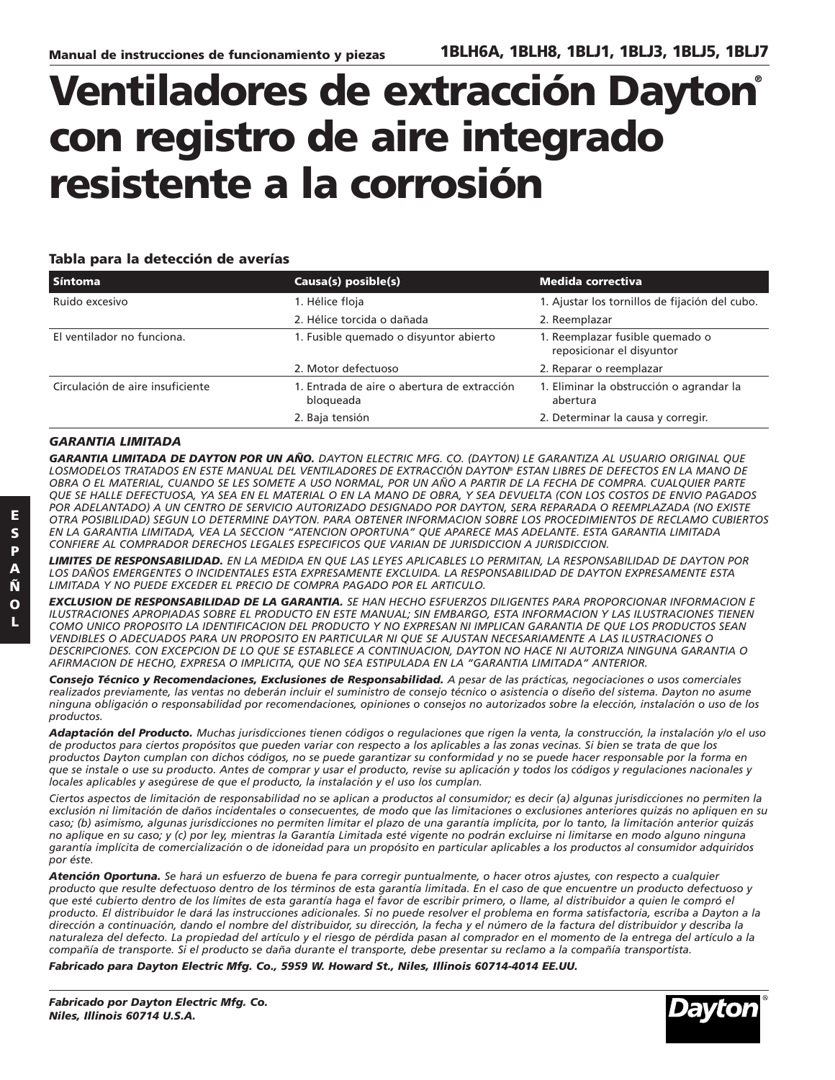Dayton

## **Ventiladores de extracción Dayton® con registro de aire integrado resistente a la corrosión**

### **Tabla para la detección de averías**

| l Síntoma                        | Causa(s) posible(s)                                      | Medida correctiva                                            |
|----------------------------------|----------------------------------------------------------|--------------------------------------------------------------|
| Ruido excesivo                   | 1. Hélice floja                                          | 1. Ajustar los tornillos de fijación del cubo.               |
|                                  | 2. Hélice torcida o dañada                               | 2. Reemplazar                                                |
| El ventilador no funciona.       | 1. Fusible quemado o disyuntor abierto                   | 1. Reemplazar fusible quemado o<br>reposicionar el disyuntor |
|                                  | 2. Motor defectuoso                                      | 2. Reparar o reemplazar                                      |
| Circulación de aire insuficiente | 1. Entrada de aire o abertura de extracción<br>bloqueada | 1. Eliminar la obstrucción o agrandar la<br>abertura         |
|                                  | 2. Baja tensión                                          | 2. Determinar la causa y corregir.                           |

### *GARANTIA LIMITADA*

*GARANTIA LIMITADA DE DAYTON POR UN AÑO. DAYTON ELECTRIC MFG. CO. (DAYTON) LE GARANTIZA AL USUARIO ORIGINAL QUE LOSMODELOS TRATADOS EN ESTE MANUAL DEL VENTILADORES DE EXTRACCIÓN DAYTON® ESTAN LIBRES DE DEFECTOS EN LA MANO DE OBRA O EL MATERIAL, CUANDO SE LES SOMETE A USO NORMAL, POR UN AÑO A PARTIR DE LA FECHA DE COMPRA. CUALQUIER PARTE QUE SE HALLE DEFECTUOSA, YA SEA EN EL MATERIAL O EN LA MANO DE OBRA, Y SEA DEVUELTA (CON LOS COSTOS DE ENVIO PAGADOS POR ADELANTADO) A UN CENTRO DE SERVICIO AUTORIZADO DESIGNADO POR DAYTON, SERA REPARADA O REEMPLAZADA (NO EXISTE OTRA POSIBILIDAD) SEGUN LO DETERMINE DAYTON. PARA OBTENER INFORMACION SOBRE LOS PROCEDIMIENTOS DE RECLAMO CUBIERTOS EN LA GARANTIA LIMITADA, VEA LA SECCION "ATENCION OPORTUNA" QUE APARECE MAS ADELANTE. ESTA GARANTIA LIMITADA CONFIERE AL COMPRADOR DERECHOS LEGALES ESPECIFICOS QUE VARIAN DE JURISDICCION A JURISDICCION.*

*LIMITES DE RESPONSABILIDAD. EN LA MEDIDA EN QUE LAS LEYES APLICABLES LO PERMITAN, LA RESPONSABILIDAD DE DAYTON POR LOS DAÑOS EMERGENTES O INCIDENTALES ESTA EXPRESAMENTE EXCLUIDA. LA RESPONSABILIDAD DE DAYTON EXPRESAMENTE ESTA LIMITADA Y NO PUEDE EXCEDER EL PRECIO DE COMPRA PAGADO POR EL ARTICULO.*

*EXCLUSION DE RESPONSABILIDAD DE LA GARANTIA. SE HAN HECHO ESFUERZOS DILIGENTES PARA PROPORCIONAR INFORMACION E ILUSTRACIONES APROPIADAS SOBRE EL PRODUCTO EN ESTE MANUAL; SIN EMBARGO, ESTA INFORMACION Y LAS ILUSTRACIONES TIENEN COMO UNICO PROPOSITO LA IDENTIFICACION DEL PRODUCTO Y NO EXPRESAN NI IMPLICAN GARANTIA DE QUE LOS PRODUCTOS SEAN VENDIBLES O ADECUADOS PARA UN PROPOSITO EN PARTICULAR NI QUE SE AJUSTAN NECESARIAMENTE A LAS ILUSTRACIONES O DESCRIPCIONES. CON EXCEPCION DE LO QUE SE ESTABLECE A CONTINUACION, DAYTON NO HACE NI AUTORIZA NINGUNA GARANTIA O AFIRMACION DE HECHO, EXPRESA O IMPLICITA, QUE NO SEA ESTIPULADA EN LA "GARANTIA LIMITADA" ANTERIOR.*

*Consejo Técnico y Recomendaciones, Exclusiones de Responsabilidad. A pesar de las prácticas, negociaciones o usos comerciales realizados previamente, las ventas no deberán incluir el suministro de consejo técnico o asistencia o diseño del sistema. Dayton no asume ninguna obligación o responsabilidad por recomendaciones, opiniones o consejos no autorizados sobre la elección, instalación o uso de los productos.*

*Adaptación del Producto. Muchas jurisdicciones tienen códigos o regulaciones que rigen la venta, la construcción, la instalación y/o el uso de productos para ciertos propósitos que pueden variar con respecto a los aplicables a las zonas vecinas. Si bien se trata de que los productos Dayton cumplan con dichos códigos, no se puede garantizar su conformidad y no se puede hacer responsable por la forma en que se instale o use su producto. Antes de comprar y usar el producto, revise su aplicación y todos los códigos y regulaciones nacionales y locales aplicables y asegúrese de que el producto, la instalación y el uso los cumplan.*

*Ciertos aspectos de limitación de responsabilidad no se aplican a productos al consumidor; es decir (a) algunas jurisdicciones no permiten la exclusión ni limitación de daños incidentales o consecuentes, de modo que las limitaciones o exclusiones anteriores quizás no apliquen en su caso; (b) asimismo, algunas jurisdicciones no permiten limitar el plazo de una garantía implícita, por lo tanto, la limitación anterior quizás no aplique en su caso; y (c) por ley, mientras la Garantía Limitada esté vigente no podrán excluirse ni limitarse en modo alguno ninguna garantía implícita de comercialización o de idoneidad para un propósito en particular aplicables a los productos al consumidor adquiridos por éste.*

*Atención Oportuna. Se hará un esfuerzo de buena fe para corregir puntualmente, o hacer otros ajustes, con respecto a cualquier producto que resulte defectuoso dentro de los términos de esta garantía limitada. En el caso de que encuentre un producto defectuoso y que esté cubierto dentro de los límites de esta garantía haga el favor de escribir primero, o llame, al distribuidor a quien le compró el producto. El distribuidor le dará las instrucciones adicionales. Si no puede resolver el problema en forma satisfactoria, escriba a Dayton a la dirección a continuación, dando el nombre del distribuidor, su dirección, la fecha y el número de la factura del distribuidor y describa la naturaleza del defecto. La propiedad del artículo y el riesgo de pérdida pasan al comprador en el momento de la entrega del artículo a la compañía de transporte. Si el producto se daña durante el transporte, debe presentar su reclamo a la compañía transportista.*

*Fabricado para Dayton Electric Mfg. Co., 5959 W. Howard St., Niles, Illinois 60714-4014 EE.UU.*

*Fabricado por Dayton Electric Mfg. Co. Niles, Illinois 60714 U.S.A.*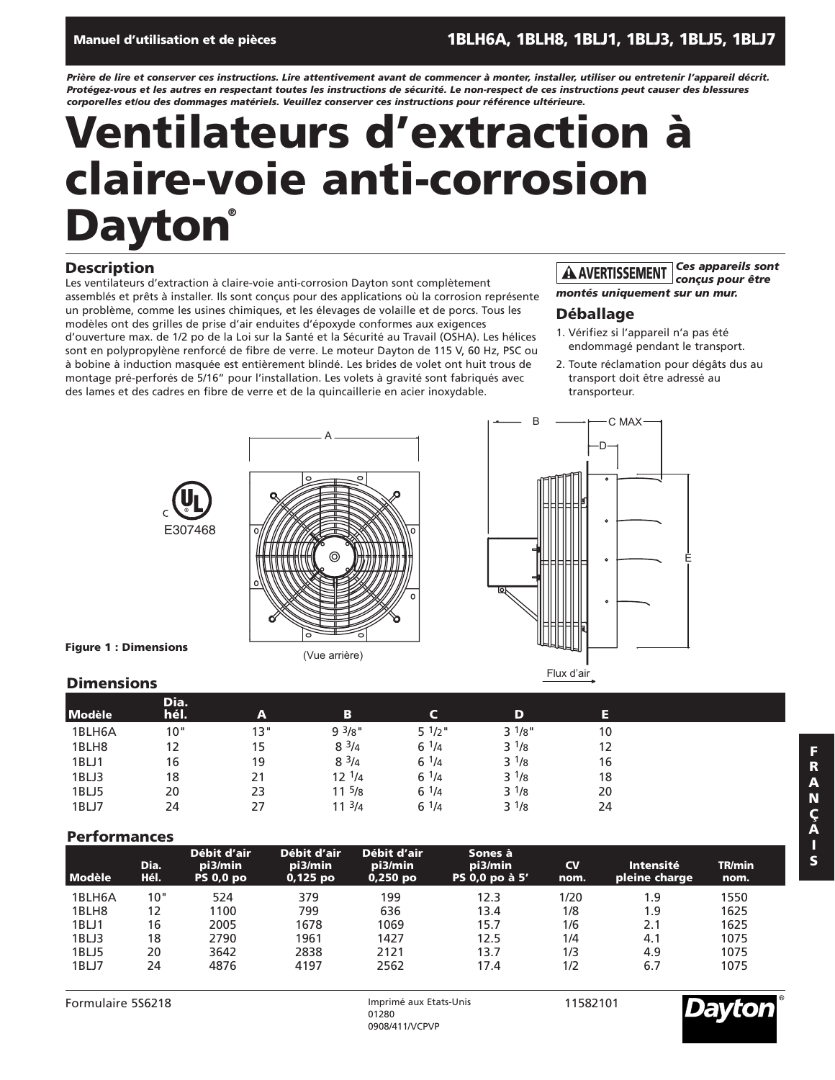### **Manuel d'utilisation et de pièces 1BLH6A, 1BLH8, 1BLJ1, 1BLJ3, 1BLJ5, 1BLJ7**

*Prière de lire et conserver ces instructions. Lire attentivement avant de commencer à monter, installer, utiliser ou entretenir l'appareil décrit. Protégez-vous et les autres en respectant toutes les instructions de sécurité. Le non-respect de ces instructions peut causer des blessures corporelles et/ou des dommages matériels. Veuillez conserver ces instructions pour référence ultérieure.*

## **Ventilateurs d'extraction à claire-voie anti-corrosion Dayton®**

### **Description**

Les ventilateurs d'extraction à claire-voie anti-corrosion Dayton sont complètement assemblés et prêts à installer. Ils sont conçus pour des applications où la corrosion représente un problème, comme les usines chimiques, et les élevages de volaille et de porcs. Tous les modèles ont des grilles de prise d'air enduites d'époxyde conformes aux exigences d'ouverture max. de 1/2 po de la Loi sur la Santé et la Sécurité au Travail (OSHA). Les hélices sont en polypropylène renforcé de fibre de verre. Le moteur Dayton de 115 V, 60 Hz, PSC ou à bobine à induction masquée est entièrement blindé. Les brides de volet ont huit trous de montage pré-perforés de 5/16" pour l'installation. Les volets à gravité sont fabriqués avec des lames et des cadres en fibre de verre et de la quincaillerie en acier inoxydable.

#### *Ces appareils sont conçus pour être* **! AVERTISSEMENT**

*montés uniquement sur un mur.*

### **Déballage**

D

C MAX

B

- 1. Vérifiez si l'appareil n'a pas été endommagé pendant le transport.
- 2. Toute réclamation pour dégâts dus au transport doit être adressé au transporteur.

E





(Vue arrière)

**Figure 1 : Dimensions**

### **Dimensions**

| <b>Modèle</b> | Dia.<br>hél. | A   | в          |                 | D           | E  |  |
|---------------|--------------|-----|------------|-----------------|-------------|----|--|
| 1BLH6A        | 10"          | 13" | 93/8"      | $5 \frac{1}{2}$ | $3^{1/8}$ " | 10 |  |
| 1BLH8         | 12           | 15  | $8^{3/4}$  | $6^{1/4}$       | $3^{1/8}$   | 12 |  |
| 1BLJ1         | 16           | 19  | $8^{3/4}$  | $6^{1/4}$       | $3^{1/8}$   | 16 |  |
| 1BLJ3         | 18           | 21  | $12^{1/4}$ | $6^{1/4}$       | $3^{1/8}$   | 18 |  |
| 1BLJ5         | 20           | 23  | $11^{5/8}$ | $6^{1/4}$       | $3^{1/8}$   | 20 |  |
| 1BLJ7         | 24           | 27  | $11^{3}/4$ | $6^{1/4}$       | $3^{1/8}$   | 24 |  |

### **Performances**

| <b>Modèle</b> | Dia.<br>Hél. | Débit d'air<br>pi3/min<br><b>PS 0,0 po</b> | Débit d'air<br>pi3/min<br>$0,125$ po | Débit d'air<br>pi3/min<br>$0,250$ po | Sones à<br>pi3/min<br>PS 0,0 po à 5' | <b>CV</b><br>nom. | Intensité<br>pleine charge | <b>TR/min</b><br>nom. |  |
|---------------|--------------|--------------------------------------------|--------------------------------------|--------------------------------------|--------------------------------------|-------------------|----------------------------|-----------------------|--|
| 1BLH6A        | 10"          | 524                                        | 379                                  | 199                                  | 12.3                                 | 1/20              | 1.9                        | 1550                  |  |
| 1BLH8         | 12           | 1100                                       | 799                                  | 636                                  | 13.4                                 | 1/8               | 1.9                        | 1625                  |  |
| 1BLJ1         | 16           | 2005                                       | 1678                                 | 1069                                 | 15.7                                 | 1/6               | 2.1                        | 1625                  |  |
| 1BLJ3         | 18           | 2790                                       | 1961                                 | 1427                                 | 12.5                                 | 1/4               | 4.1                        | 1075                  |  |
| 1BLJ5         | 20           | 3642                                       | 2838                                 | 2121                                 | 13.7                                 | 1/3               | 4.9                        | 1075                  |  |
| 1BLJ7         | 24           | 4876                                       | 4197                                 | 2562                                 | 17.4                                 | 1/2               | 6.7                        | 1075                  |  |

Flux d'air



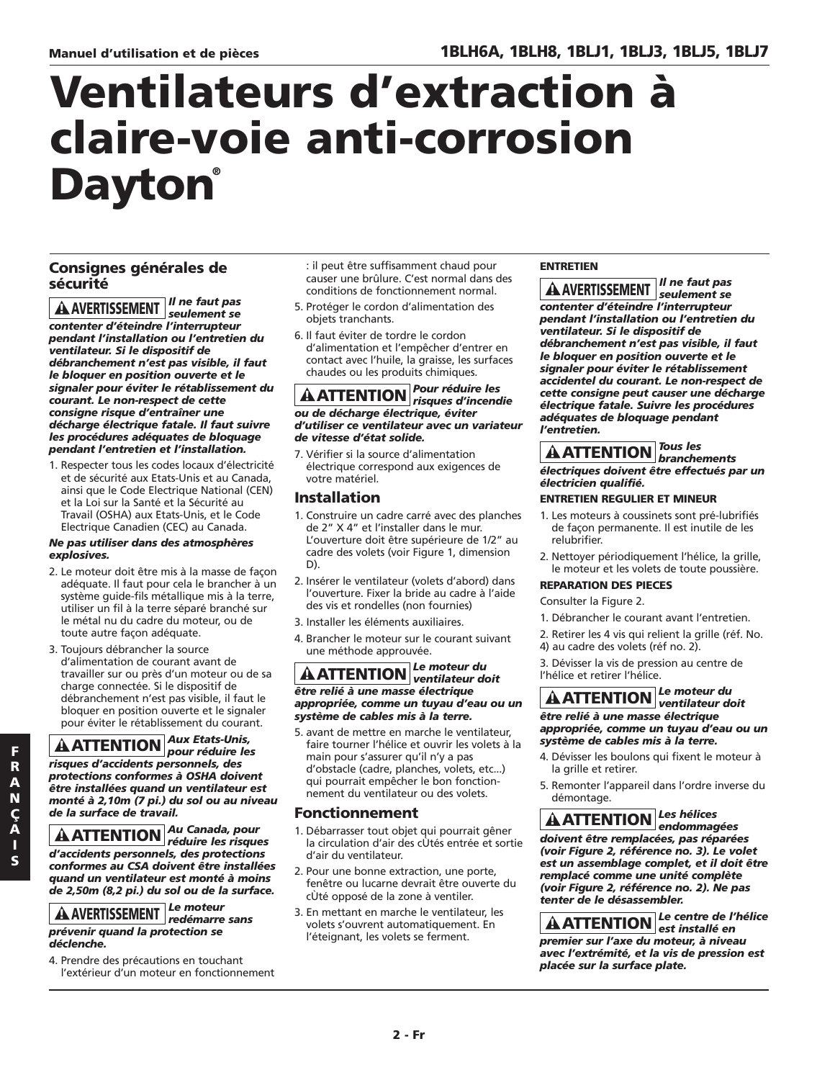## **Ventilateurs d'extraction à claire-voie anti-corrosion Dayton®**

### **Consignes générales de sécurité**

*Il ne faut pas seulement se contenter d'éteindre l'interrupteur pendant l'installation ou l'entretien du ventilateur. Si le dispositif de débranchement n'est pas visible, il faut le bloquer en position ouverte et le signaler pour éviter le rétablissement du courant. Le non-respect de cette consigne risque d'entraîner une décharge électrique fatale. Il faut suivre les procédures adéquates de bloquage pendant l'entretien et l'installation.* **! AVERTISSEMENT**

1. Respecter tous les codes locaux d'électricité et de sécurité aux Etats-Unis et au Canada, ainsi que le Code Electrique National (CEN) et la Loi sur la Santé et la Sécurité au Travail (OSHA) aux Etats-Unis, et le Code Electrique Canadien (CEC) au Canada.

### *Ne pas utiliser dans des atmosphères explosives.*

- 2. Le moteur doit être mis à la masse de façon adéquate. Il faut pour cela le brancher à un système guide-fils métallique mis à la terre, utiliser un fil à la terre séparé branché sur le métal nu du cadre du moteur, ou de toute autre façon adéquate.
- 3. Toujours débrancher la source d'alimentation de courant avant de travailler sur ou près d'un moteur ou de sa charge connectée. Si le dispositif de débranchement n'est pas visible, il faut le bloquer en position ouverte et le signaler pour éviter le rétablissement du courant.

### *Aux Etats-Unis, pour réduire les* **! ATTENTION** *risques d'accidents personnels, des protections conformes à OSHA doivent être installées quand un ventilateur est monté à 2,10m (7 pi.) du sol ou au niveau de la surface de travail.*

*Au Canada, pour réduire les risques* **! ATTENTION***d'accidents personnels, des protections conformes au CSA doivent être installées quand un ventilateur est monté à moins de 2,50m (8,2 pi.) du sol ou de la surface.*

#### *Le moteur* **! AVERTISSEMENT** *redémarre sans prévenir quand la protection se déclenche.*

4. Prendre des précautions en touchant l'extérieur d'un moteur en fonctionnement

- : il peut être suffisamment chaud pour causer une brûlure. C'est normal dans des conditions de fonctionnement normal.
- 5. Protéger le cordon d'alimentation des objets tranchants.
- 6. Il faut éviter de tordre le cordon d'alimentation et l'empêcher d'entrer en contact avec l'huile, la graisse, les surfaces chaudes ou les produits chimiques.

### *Pour réduire les risques d'incendie* **! ATTENTION** *ou de décharge électrique, éviter d'utiliser ce ventilateur avec un variateur de vitesse d'état solide.*

7. Vérifier si la source d'alimentation électrique correspond aux exigences de votre matériel.

### **Installation**

- 1. Construire un cadre carré avec des planches de 2" X 4" et l'installer dans le mur. L'ouverture doit être supérieure de 1/2" au cadre des volets (voir Figure 1, dimension D).
- 2. Insérer le ventilateur (volets d'abord) dans l'ouverture. Fixer la bride au cadre à l'aide des vis et rondelles (non fournies)
- 3. Installer les éléments auxiliaires.
- 4. Brancher le moteur sur le courant suivant une méthode approuvée.

### *Le moteur du ventilateur doit* **! ATTENTION** *être relié à une masse électrique appropriée, comme un tuyau d'eau ou un système de cables mis à la terre.*

5. avant de mettre en marche le ventilateur, faire tourner l'hélice et ouvrir les volets à la main pour s'assurer qu'il n'y a pas d'obstacle (cadre, planches, volets, etc...) qui pourrait empêcher le bon fonctionnement du ventilateur ou des volets.

### **Fonctionnement**

- 1. Débarrasser tout objet qui pourrait gêner la circulation d'air des cÙtés entrée et sortie d'air du ventilateur.
- 2. Pour une bonne extraction, une porte, fenêtre ou lucarne devrait être ouverte du cÙté opposé de la zone à ventiler.
- 3. En mettant en marche le ventilateur, les volets s'ouvrent automatiquement. En l'éteignant, les volets se ferment.

### **ENTRETIEN**

*Il ne faut pas seulement se* **! AVERTISSEMENT** *contenter d'éteindre l'interrupteur pendant l'installation ou l'entretien du ventilateur. Si le dispositif de débranchement n'est pas visible, il faut le bloquer en position ouverte et le signaler pour éviter le rétablissement accidentel du courant. Le non-respect de cette consigne peut causer une décharge électrique fatale. Suivre les procédures adéquates de bloquage pendant l'entretien.*

### *Tous les branchements* **! ATTENTION** *électriques doivent être effectués par un électricien qualifié.*

### **ENTRETIEN REGULIER ET MINEUR**

- 1. Les moteurs à coussinets sont pré-lubrifiés de façon permanente. Il est inutile de les relubrifier.
- 2. Nettoyer périodiquement l'hélice, la grille, le moteur et les volets de toute poussière.

### **REPARATION DES PIECES**

### Consulter la Figure 2.

- 1. Débrancher le courant avant l'entretien.
- 2. Retirer les 4 vis qui relient la grille (réf. No. 4) au cadre des volets (réf no. 2).

3. Dévisser la vis de pression au centre de l'hélice et retirer l'hélice.

#### *Le moteur du ventilateur doit* **! ATTENTION** *être relié à une masse électrique appropriée, comme un tuyau d'eau ou un système de cables mis à la terre.*

- 4. Dévisser les boulons qui fixent le moteur à la grille et retirer.
- 5. Remonter l'appareil dans l'ordre inverse du démontage.

*Les hélices endommagées* **! ATTENTION** *doivent être remplacées, pas réparées (voir Figure 2, référence no. 3). Le volet est un assemblage complet, et il doit être remplacé comme une unité complète (voir Figure 2, référence no. 2). Ne pas tenter de le désassembler.*

*Le centre de l'hélice est installé en* **! ATTENTION** *premier sur l'axe du moteur, à niveau avec l'extrémité, et la vis de pression est placée sur la surface plate.*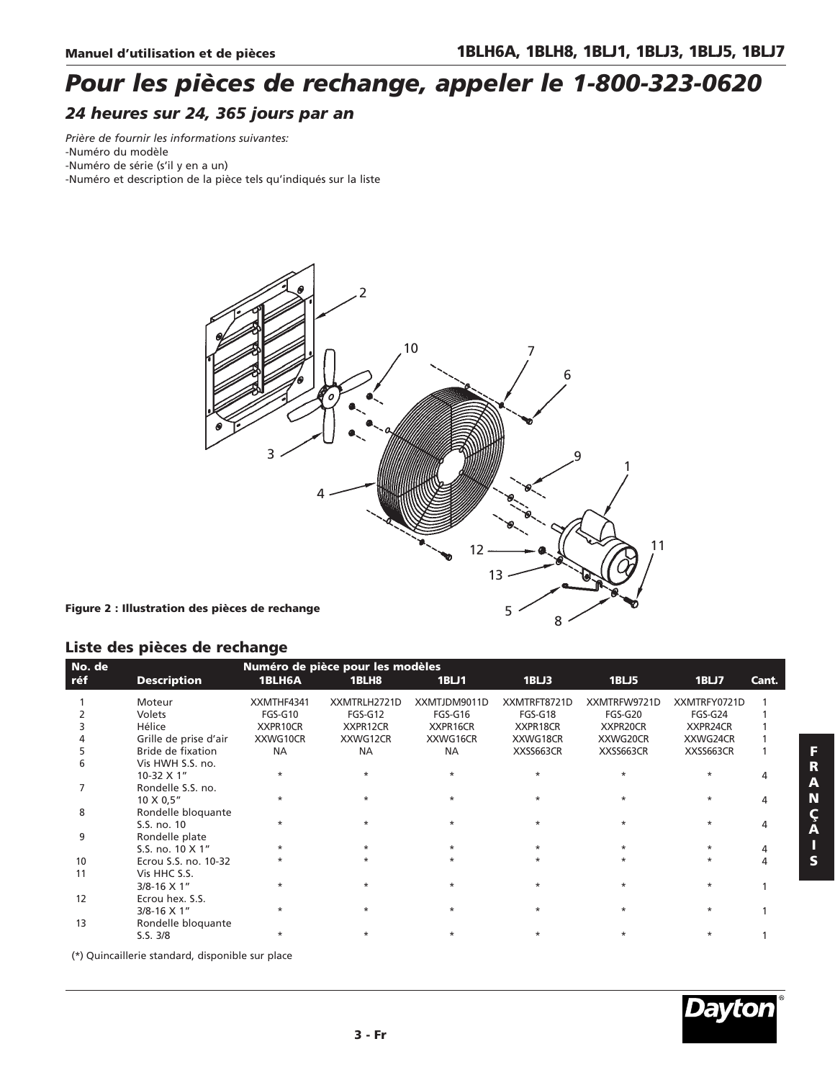### *Pour les pièces de rechange, appeler le 1-800-323-0620 24 heures sur 24, 365 jours par an*

*Prière de fournir les informations suivantes:* -Numéro du modèle

-Numéro de série (s'il y en a un)

-Numéro et description de la pièce tels qu'indiqués sur la liste



### **Liste des pièces de rechange**

| No. de |                       |            | Numéro de pièce pour les modèles |              |              |              |              |       |
|--------|-----------------------|------------|----------------------------------|--------------|--------------|--------------|--------------|-------|
| réf    | <b>Description</b>    | 1BLH6A     | 1BLH8                            | 1BLJ1        | 1BLJ3        | 1BLJ5        | 1BLJ7        | Cant. |
|        | Moteur                | XXMTHF4341 | XXMTRLH2721D                     | XXMTJDM9011D | XXMTRFT8721D | XXMTRFW9721D | XXMTRFY0721D |       |
|        | Volets                | FGS-G10    | FGS-G12                          | FGS-G16      | FGS-G18      | FGS-G20      | FGS-G24      |       |
|        | Hélice                | XXPR10CR   | XXPR12CR                         | XXPR16CR     | XXPR18CR     | XXPR20CR     | XXPR24CR     |       |
|        | Grille de prise d'air | XXWG10CR   | XXWG12CR                         | XXWG16CR     | XXWG18CR     | XXWG20CR     | XXWG24CR     |       |
|        | Bride de fixation     | <b>NA</b>  | <b>NA</b>                        | <b>NA</b>    | XXSS663CR    | XXSS663CR    | XXSS663CR    |       |
|        | Vis HWH S.S. no.      |            |                                  |              |              |              |              |       |
|        | 10-32 X 1"            | $\star$    | $\star$                          |              | $\star$      |              |              |       |
|        | Rondelle S.S. no.     |            |                                  |              |              |              |              |       |
|        | 10 X 0,5"             |            | $\star$                          |              | $\star$      |              |              |       |
| 8      | Rondelle bloquante    |            |                                  |              |              |              |              |       |
|        | S.S. no. 10           |            | $\star$                          |              | $\star$      |              | $\star$      |       |
| q      | Rondelle plate        |            |                                  |              |              |              |              |       |
|        | S.S. no. 10 X 1"      |            | $\star$                          |              | $\star$      |              |              |       |
| 10     | Ecrou S.S. no. 10-32  |            |                                  |              |              |              |              |       |
| 11     | Vis HHC S.S.          |            |                                  |              |              |              |              |       |
|        | $3/8 - 16 \times 1$ " |            |                                  |              | $\star$      |              |              |       |
| 12     | Ecrou hex. S.S.       |            |                                  |              |              |              |              |       |
|        | 3/8-16 X 1"           | $\star$    | $\star$                          | $\star$      | $\star$      | $\star$      |              |       |
| 13     | Rondelle bloquante    |            |                                  |              |              |              |              |       |
|        | S.S. 3/8              |            | $\star$                          | *            | $\star$      |              |              |       |

(\*) Quincaillerie standard, disponible sur place